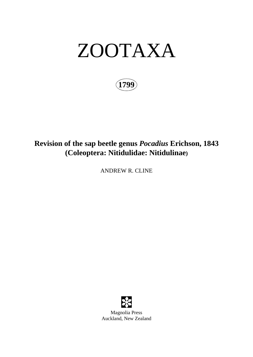# ZOOTAXA

**1799**

## **Revision of the sap beetle genus** *Pocadius* **Erichson, 1843 (Coleoptera: Nitidulidae: Nitidulinae)**

ANDREW R. CLINE

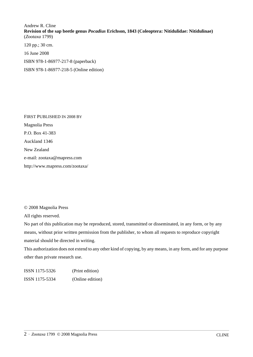Andrew R. Cline **Revision of the sap beetle genus** *Pocadius* **Erichson, 1843 (Coleoptera: Nitidulidae: Nitidulinae)** (*Zootaxa* 1799)

120 pp.; 30 cm.

16 June 2008

ISBN 978-1-86977-217-8 (paperback)

ISBN 978-1-86977-218-5 (Online edition)

FIRST PUBLISHED IN 2008 BY Magnolia Press P.O. Box 41-383 Auckland 1346 New Zealand e-mail: zootaxa@mapress.com http://www.mapress.com/zootaxa/

© 2008 Magnolia Press

All rights reserved.

No part of this publication may be reproduced, stored, transmitted or disseminated, in any form, or by any means, without prior written permission from the publisher, to whom all requests to reproduce copyright material should be directed in writing.

This authorization does not extend to any other kind of copying, by any means, in any form, and for any purpose other than private research use.

ISSN 1175-5326 (Print edition) ISSN 1175-5334 (Online edition)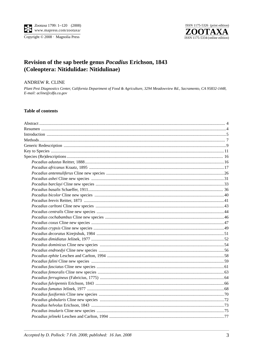

### Revision of the sap beetle genus *Pocadius* Erichson, 1843 (Coleoptera: Nitidulidae: Nitidulinae)

#### **ANDREW R. CLINE**

Plant Pest Diagnostics Center, California Department of Food & Agriculture, 3294 Meadowview Rd., Sacramento, CA 95832-1448, E-mail: acline@cdfa.ca.gov

#### **Table of contents**